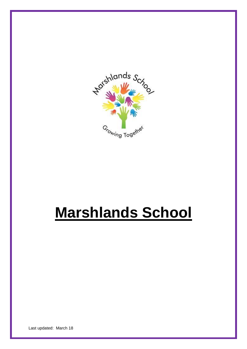

# **Marshlands School**

Last updated: March 18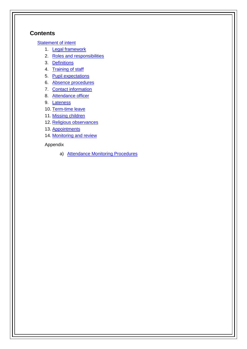## **Contents**

**[Statement of intent](#page-2-0)** 

- 1. [Legal framework](#page-3-0)
- 2. [Roles and responsibilities](#page-3-1)
- 3. [Definitions](#page-4-0)
- 4. [Training of staff](#page-4-1)
- 5. [Pupil expectations](#page-5-0)
- 6. [Absence procedures](#page-5-1)
- 7. [Contact information](#page-5-2)
- 8. [Attendance officer](#page-5-3)
- 9. [Lateness](#page-5-4)
- 10. [Term-time leave](#page-6-0)
- 11. [Missing children](#page-6-1)
- 12. [Religious observances](#page-8-0)
- 13. [Appointments](#page-8-1)
- 14. [Monitoring and review](#page-8-2)

### Appendix

a) [Attendance Monitoring Procedures](#page-9-0)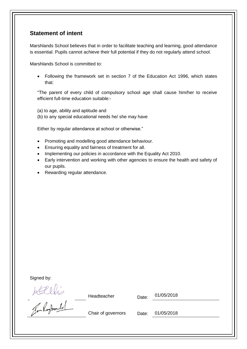## <span id="page-2-0"></span>**Statement of intent**

Marshlands School believes that in order to facilitate teaching and learning, good attendance is essential. Pupils cannot achieve their full potential if they do not regularly attend school.

Marshlands School is committed to:

• Following the framework set in section 7 of the Education Act 1996, which states that:

"The parent of every child of compulsory school age shall cause him/her to receive efficient full-time education suitable:-

(a) to age, ability and aptitude and

(b) to any special educational needs he/ she may have

Either by regular attendance at school or otherwise."

- Promoting and modelling good attendance behaviour.
- Ensuring equality and fairness of treatment for all.
- Implementing our policies in accordance with the Equality Act 2010.
- Early intervention and working with other agencies to ensure the health and safety of our pupils.
- Rewarding regular attendance.

Headteacher Date: 01/05/2018

Signed by:<br>Allie<br>Ten Reported

Chair of governors Date: 01/05/2018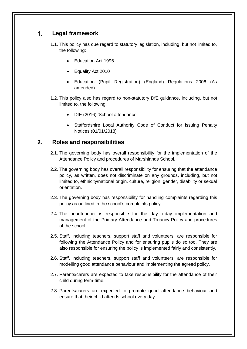#### <span id="page-3-0"></span> $\mathbf 1$ . **Legal framework**

- 1.1. This policy has due regard to statutory legislation, including, but not limited to, the following:
	- Education Act 1996
	- Equality Act 2010
	- Education (Pupil Registration) (England) Regulations 2006 (As amended)
- 1.2. This policy also has regard to non-statutory DfE guidance, including, but not limited to, the following:
	- DfE (2016) 'School attendance'
	- Staffordshire Local Authority Code of Conduct for issuing Penalty Notices (01/01/2018)

#### <span id="page-3-1"></span> $2.$ **Roles and responsibilities**

- 2.1. The governing body has overall responsibility for the implementation of the Attendance Policy and procedures of Marshlands School.
- 2.2. The governing body has overall responsibility for ensuring that the attendance policy, as written, does not discriminate on any grounds, including, but not limited to, ethnicity/national origin, culture, religion, gender, disability or sexual orientation.
- 2.3. The governing body has responsibility for handling complaints regarding this policy as outlined in the school's complaints policy.
- 2.4. The headteacher is responsible for the day-to-day implementation and management of the Primary Attendance and Truancy Policy and procedures of the school.
- 2.5. Staff, including teachers, support staff and volunteers, are responsible for following the Attendance Policy and for ensuring pupils do so too. They are also responsible for ensuring the policy is implemented fairly and consistently.
- 2.6. Staff, including teachers, support staff and volunteers, are responsible for modelling good attendance behaviour and implementing the agreed policy.
- 2.7. Parents/carers are expected to take responsibility for the attendance of their child during term-time.
- 2.8. Parents/carers are expected to promote good attendance behaviour and ensure that their child attends school every day.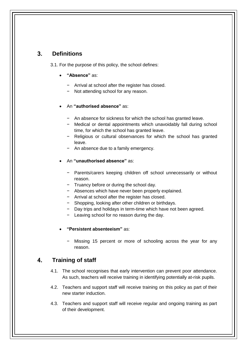#### <span id="page-4-0"></span> $3<sub>l</sub>$ **Definitions**

3.1. For the purpose of this policy, the school defines:

- **"Absence"** as:
	- − Arrival at school after the register has closed.
	- − Not attending school for any reason.
- An **"authorised absence"** as:
	- − An absence for sickness for which the school has granted leave.
	- − Medical or dental appointments which unavoidably fall during school time, for which the school has granted leave.
	- − Religious or cultural observances for which the school has granted leave.
	- An absence due to a family emergency.
- An **"unauthorised absence"** as:
	- − Parents/carers keeping children off school unnecessarily or without reason.
	- − Truancy before or during the school day.
	- − Absences which have never been properly explained.
	- − Arrival at school after the register has closed.
	- − Shopping, looking after other children or birthdays.
	- Day trips and holidays in term-time which have not been agreed.
	- Leaving school for no reason during the day.
- **"Persistent absenteeism"** as:
	- Missing 15 percent or more of schooling across the year for any reason.

#### <span id="page-4-1"></span>4. **Training of staff**

- 4.1. The school recognises that early intervention can prevent poor attendance. As such, teachers will receive training in identifying potentially at-risk pupils.
- 4.2. Teachers and support staff will receive training on this policy as part of their new starter induction.
- 4.3. Teachers and support staff will receive regular and ongoing training as part of their development.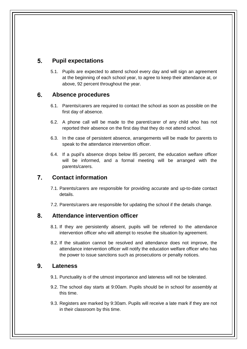#### <span id="page-5-0"></span> $5<sub>1</sub>$ **Pupil expectations**

5.1. Pupils are expected to attend school every day and will sign an agreement at the beginning of each school year, to agree to keep their attendance at, or above, 92 percent throughout the year.

#### <span id="page-5-1"></span> $6.$ **Absence procedures**

- 6.1. Parents/carers are required to contact the school as soon as possible on the first day of absence.
- 6.2. A phone call will be made to the parent/carer of any child who has not reported their absence on the first day that they do not attend school.
- 6.3. In the case of persistent absence, arrangements will be made for parents to speak to the attendance intervention officer.
- 6.4. If a pupil's absence drops below 85 percent, the education welfare officer will be informed, and a formal meeting will be arranged with the parents/carers.

#### <span id="page-5-2"></span> $7<sub>1</sub>$ **Contact information**

- 7.1. Parents/carers are responsible for providing accurate and up-to-date contact details.
- 7.2. Parents/carers are responsible for updating the school if the details change.

#### <span id="page-5-3"></span>**Attendance intervention officer** 8.

- 8.1. If they are persistently absent, pupils will be referred to the attendance intervention officer who will attempt to resolve the situation by agreement.
- 8.2. If the situation cannot be resolved and attendance does not improve, the attendance intervention officer will notify the education welfare officer who has the power to issue sanctions such as prosecutions or penalty notices.

#### <span id="page-5-4"></span> $9<sub>-</sub>$ **Lateness**

- 9.1. Punctuality is of the utmost importance and lateness will not be tolerated.
- 9.2. The school day starts at 9:00am. Pupils should be in school for assembly at this time.
- 9.3. Registers are marked by 9:30am. Pupils will receive a late mark if they are not in their classroom by this time.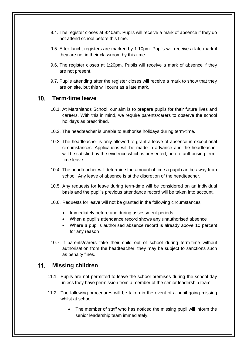- 9.4. The register closes at 9:40am. Pupils will receive a mark of absence if they do not attend school before this time.
- 9.5. After lunch, registers are marked by 1:10pm. Pupils will receive a late mark if they are not in their classroom by this time.
- 9.6. The register closes at 1:20pm. Pupils will receive a mark of absence if they are not present.
- 9.7. Pupils attending after the register closes will receive a mark to show that they are on site, but this will count as a late mark.

#### <span id="page-6-0"></span>**Term-time leave**  $10<sub>l</sub>$

- 10.1. At Marshlands School, our aim is to prepare pupils for their future lives and careers. With this in mind, we require parents/carers to observe the school holidays as prescribed.
- 10.2. The headteacher is unable to authorise holidays during term-time.
- 10.3. The headteacher is only allowed to grant a leave of absence in exceptional circumstances. Applications will be made in advance and the headteacher will be satisfied by the evidence which is presented, before authorising termtime leave.
- 10.4. The headteacher will determine the amount of time a pupil can be away from school. Any leave of absence is at the discretion of the headteacher.
- 10.5. Any requests for leave during term-time will be considered on an individual basis and the pupil's previous attendance record will be taken into account.
- 10.6. Requests for leave will not be granted in the following circumstances:
	- Immediately before and during assessment periods
	- When a pupil's attendance record shows any unauthorised absence
	- Where a pupil's authorised absence record is already above 10 percent for any reason
- 10.7. If parents/carers take their child out of school during term-time without authorisation from the headteacher, they may be subject to sanctions such as penalty fines.

#### <span id="page-6-1"></span> $11.$ **Missing children**

- 11.1. Pupils are not permitted to leave the school premises during the school day unless they have permission from a member of the senior leadership team.
- 11.2. The following procedures will be taken in the event of a pupil going missing whilst at school:
	- The member of staff who has noticed the missing pupil will inform the senior leadership team immediately.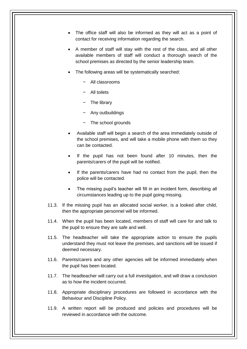- The office staff will also be informed as they will act as a point of contact for receiving information regarding the search.
- A member of staff will stay with the rest of the class, and all other available members of staff will conduct a thorough search of the school premises as directed by the senior leadership team.
- The following areas will be systematically searched:
	- − All classrooms
	- − All toilets
	- − The library
	- − Any outbuildings
	- − The school grounds
- Available staff will begin a search of the area immediately outside of the school premises, and will take a mobile phone with them so they can be contacted.
- If the pupil has not been found after 10 minutes, then the parents/carers of the pupil will be notified.
- If the parents/carers have had no contact from the pupil, then the police will be contacted.
- The missing pupil's teacher will fill in an incident form, describing all circumstances leading up to the pupil going missing.
- 11.3. If the missing pupil has an allocated social worker, is a looked after child, then the appropriate personnel will be informed.
- 11.4. When the pupil has been located, members of staff will care for and talk to the pupil to ensure they are safe and well.
- 11.5. The headteacher will take the appropriate action to ensure the pupils understand they must not leave the premises, and sanctions will be issued if deemed necessary.
- 11.6. Parents/carers and any other agencies will be informed immediately when the pupil has been located.
- 11.7. The headteacher will carry out a full investigation, and will draw a conclusion as to how the incident occurred.
- 11.8. Appropriate disciplinary procedures are followed in accordance with the Behaviour and Discipline Policy.
- 11.9. A written report will be produced and policies and procedures will be reviewed in accordance with the outcome.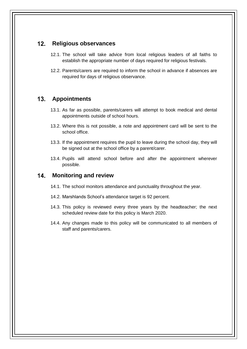#### <span id="page-8-0"></span> $12.$ **Religious observances**

- 12.1. The school will take advice from local religious leaders of all faiths to establish the appropriate number of days required for religious festivals.
- 12.2. Parents/carers are required to inform the school in advance if absences are required for days of religious observance.

#### <span id="page-8-1"></span> $13<sub>1</sub>$ **Appointments**

- 13.1. As far as possible, parents/carers will attempt to book medical and dental appointments outside of school hours.
- 13.2. Where this is not possible, a note and appointment card will be sent to the school office.
- 13.3. If the appointment requires the pupil to leave during the school day, they will be signed out at the school office by a parent/carer.
- 13.4. Pupils will attend school before and after the appointment wherever possible.

#### <span id="page-8-2"></span> $14.$ **Monitoring and review**

- 14.1. The school monitors attendance and punctuality throughout the year.
- 14.2. Marshlands School's attendance target is 92 percent.
- 14.3. This policy is reviewed every three years by the headteacher; the next scheduled review date for this policy is March 2020.
- 14.4. Any changes made to this policy will be communicated to all members of staff and parents/carers.